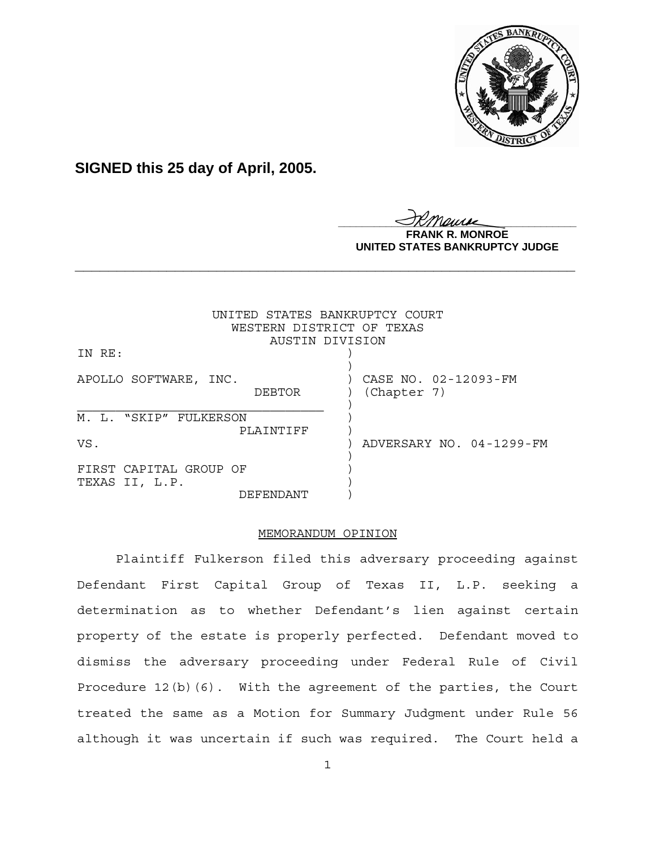

**SIGNED this 25 day of April, 2005.**

<u>IKThemse</u>

**NROE UNITED STATES BANKRUPTCY JUDGE**

|                                          | UNITED STATES BANKRUPTCY COURT<br>WESTERN DISTRICT OF TEXAS |
|------------------------------------------|-------------------------------------------------------------|
|                                          | AUSTIN DIVISION                                             |
| IN RE:                                   |                                                             |
| APOLLO SOFTWARE, INC.<br>DEBTOR          | CASE NO. 02-12093-FM<br>(Chapter 7)                         |
| M. L. "SKIP" FULKERSON<br>PLAINTIFF      |                                                             |
| VS.                                      | ADVERSARY NO. 04-1299-FM                                    |
| FIRST CAPITAL GROUP OF<br>TEXAS II, L.P. |                                                             |
| DEFFNDANT                                |                                                             |

**\_\_\_\_\_\_\_\_\_\_\_\_\_\_\_\_\_\_\_\_\_\_\_\_\_\_\_\_\_\_\_\_\_\_\_\_\_\_\_\_\_\_\_\_\_\_\_\_\_\_\_\_\_\_\_\_\_\_\_\_**

# MEMORANDUM OPINION

Plaintiff Fulkerson filed this adversary proceeding against Defendant First Capital Group of Texas II, L.P. seeking a determination as to whether Defendant's lien against certain property of the estate is properly perfected. Defendant moved to dismiss the adversary proceeding under Federal Rule of Civil Procedure 12(b)(6). With the agreement of the parties, the Court treated the same as a Motion for Summary Judgment under Rule 56 although it was uncertain if such was required. The Court held a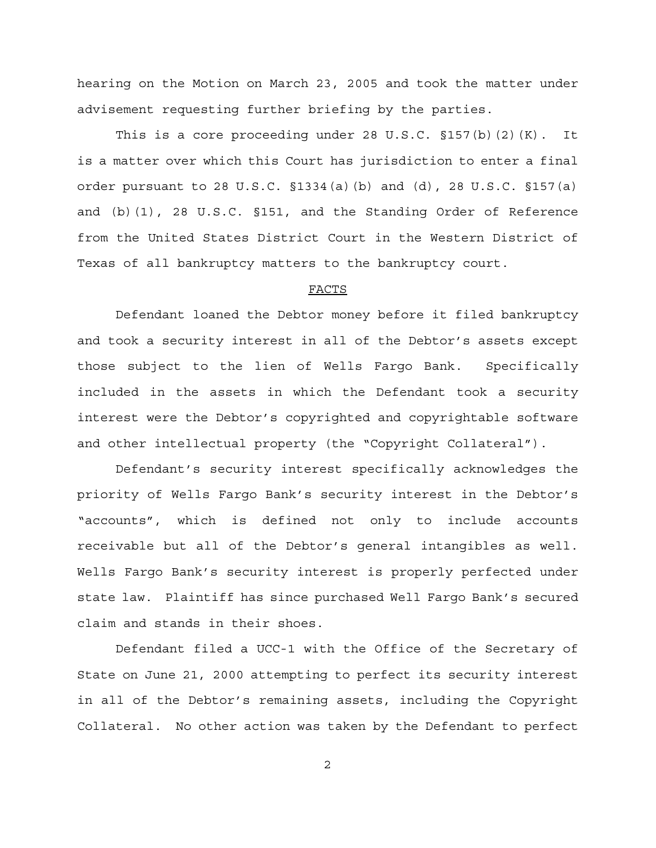hearing on the Motion on March 23, 2005 and took the matter under advisement requesting further briefing by the parties.

This is a core proceeding under 28 U.S.C.  $$157(b)(2)(K)$ . It is a matter over which this Court has jurisdiction to enter a final order pursuant to 28 U.S.C.  $$1334(a)$  (b) and (d), 28 U.S.C.  $$157(a)$ and (b)(1), 28 U.S.C. §151, and the Standing Order of Reference from the United States District Court in the Western District of Texas of all bankruptcy matters to the bankruptcy court.

## FACTS

Defendant loaned the Debtor money before it filed bankruptcy and took a security interest in all of the Debtor's assets except those subject to the lien of Wells Fargo Bank. Specifically included in the assets in which the Defendant took a security interest were the Debtor's copyrighted and copyrightable software and other intellectual property (the "Copyright Collateral").

Defendant's security interest specifically acknowledges the priority of Wells Fargo Bank's security interest in the Debtor's "accounts", which is defined not only to include accounts receivable but all of the Debtor's general intangibles as well. Wells Fargo Bank's security interest is properly perfected under state law. Plaintiff has since purchased Well Fargo Bank's secured claim and stands in their shoes.

Defendant filed a UCC-1 with the Office of the Secretary of State on June 21, 2000 attempting to perfect its security interest in all of the Debtor's remaining assets, including the Copyright Collateral. No other action was taken by the Defendant to perfect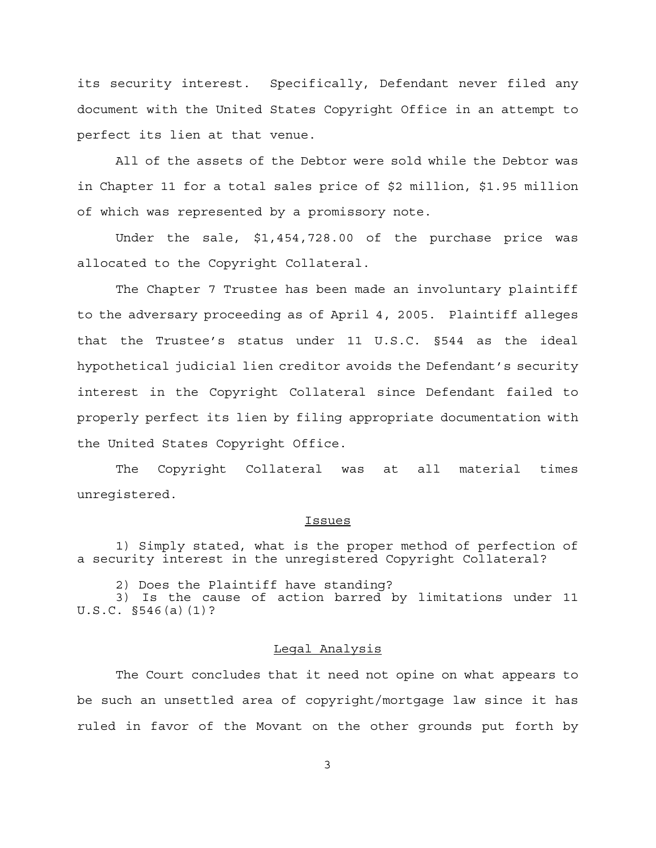its security interest. Specifically, Defendant never filed any document with the United States Copyright Office in an attempt to perfect its lien at that venue.

All of the assets of the Debtor were sold while the Debtor was in Chapter 11 for a total sales price of \$2 million, \$1.95 million of which was represented by a promissory note.

Under the sale, \$1,454,728.00 of the purchase price was allocated to the Copyright Collateral.

The Chapter 7 Trustee has been made an involuntary plaintiff to the adversary proceeding as of April 4, 2005. Plaintiff alleges that the Trustee's status under 11 U.S.C. §544 as the ideal hypothetical judicial lien creditor avoids the Defendant's security interest in the Copyright Collateral since Defendant failed to properly perfect its lien by filing appropriate documentation with the United States Copyright Office.

The Copyright Collateral was at all material times unregistered.

#### Issues

1) Simply stated, what is the proper method of perfection of a security interest in the unregistered Copyright Collateral?

2) Does the Plaintiff have standing?

3) Is the cause of action barred by limitations under 11 U.S.C. §546(a)(1)?

# Legal Analysis

The Court concludes that it need not opine on what appears to be such an unsettled area of copyright/mortgage law since it has ruled in favor of the Movant on the other grounds put forth by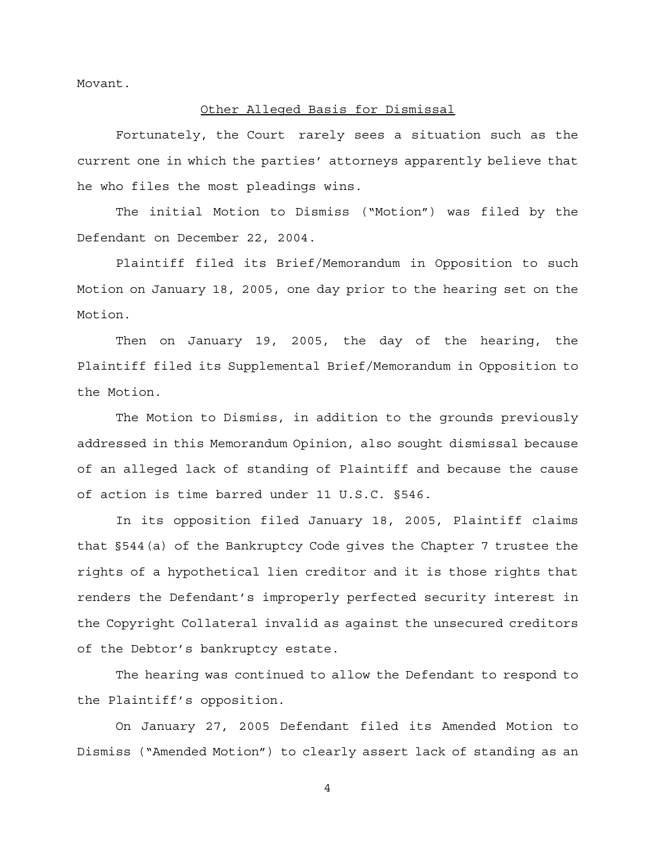Movant.

### Other Alleged Basis for Dismissal

Fortunately, the Court rarely sees a situation such as the current one in which the parties' attorneys apparently believe that he who files the most pleadings wins.

The initial Motion to Dismiss ("Motion") was filed by the Defendant on December 22, 2004.

Plaintiff filed its Brief/Memorandum in Opposition to such Motion on January 18, 2005, one day prior to the hearing set on the Motion.

Then on January 19, 2005, the day of the hearing, the Plaintiff filed its Supplemental Brief/Memorandum in Opposition to the Motion.

The Motion to Dismiss, in addition to the grounds previously addressed in this Memorandum Opinion, also sought dismissal because of an alleged lack of standing of Plaintiff and because the cause of action is time barred under 11 U.S.C. §546.

In its opposition filed January 18, 2005, Plaintiff claims that §544(a) of the Bankruptcy Code gives the Chapter 7 trustee the rights of a hypothetical lien creditor and it is those rights that renders the Defendant's improperly perfected security interest in the Copyright Collateral invalid as against the unsecured creditors of the Debtor's bankruptcy estate.

The hearing was continued to allow the Defendant to respond to the Plaintiff's opposition.

On January 27, 2005 Defendant filed its Amended Motion to Dismiss ("Amended Motion") to clearly assert lack of standing as an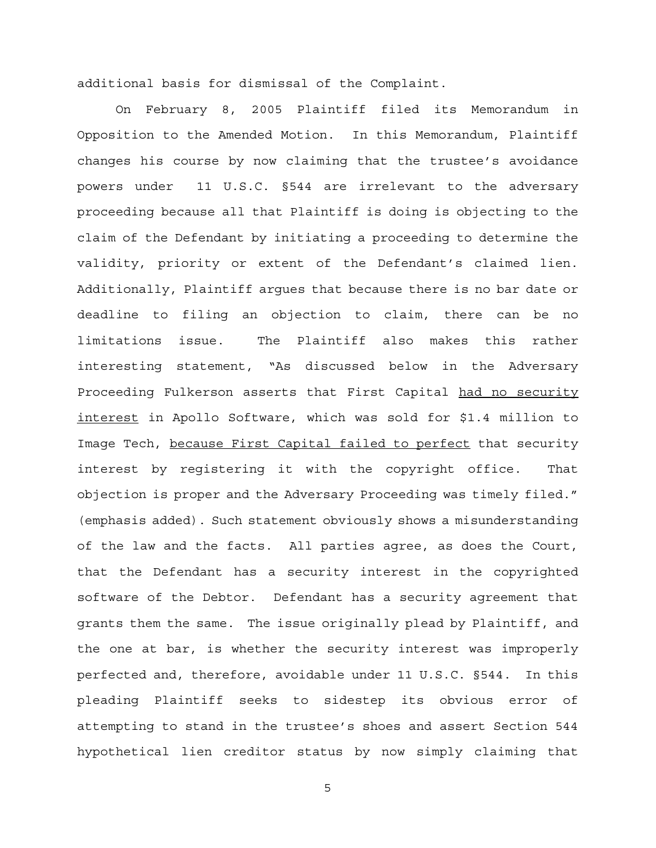additional basis for dismissal of the Complaint.

On February 8, 2005 Plaintiff filed its Memorandum in Opposition to the Amended Motion. In this Memorandum, Plaintiff changes his course by now claiming that the trustee's avoidance powers under 11 U.S.C. §544 are irrelevant to the adversary proceeding because all that Plaintiff is doing is objecting to the claim of the Defendant by initiating a proceeding to determine the validity, priority or extent of the Defendant's claimed lien. Additionally, Plaintiff argues that because there is no bar date or deadline to filing an objection to claim, there can be no limitations issue. The Plaintiff also makes this rather interesting statement, "As discussed below in the Adversary Proceeding Fulkerson asserts that First Capital had no security interest in Apollo Software, which was sold for \$1.4 million to Image Tech, because First Capital failed to perfect that security interest by registering it with the copyright office. That objection is proper and the Adversary Proceeding was timely filed." (emphasis added). Such statement obviously shows a misunderstanding of the law and the facts. All parties agree, as does the Court, that the Defendant has a security interest in the copyrighted software of the Debtor. Defendant has a security agreement that grants them the same. The issue originally plead by Plaintiff, and the one at bar, is whether the security interest was improperly perfected and, therefore, avoidable under 11 U.S.C. §544. In this pleading Plaintiff seeks to sidestep its obvious error of attempting to stand in the trustee's shoes and assert Section 544 hypothetical lien creditor status by now simply claiming that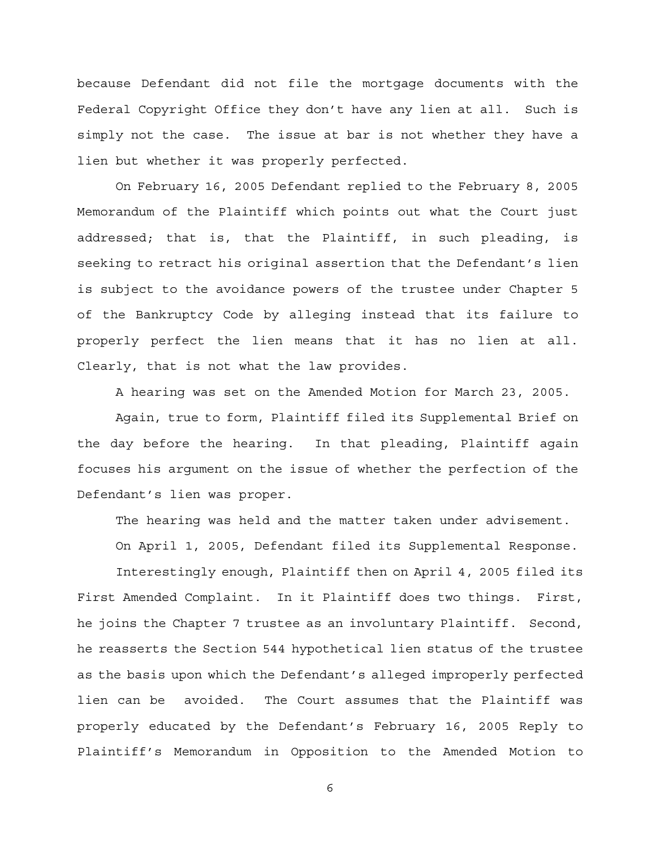because Defendant did not file the mortgage documents with the Federal Copyright Office they don't have any lien at all. Such is simply not the case. The issue at bar is not whether they have a lien but whether it was properly perfected.

On February 16, 2005 Defendant replied to the February 8, 2005 Memorandum of the Plaintiff which points out what the Court just addressed; that is, that the Plaintiff, in such pleading, is seeking to retract his original assertion that the Defendant's lien is subject to the avoidance powers of the trustee under Chapter 5 of the Bankruptcy Code by alleging instead that its failure to properly perfect the lien means that it has no lien at all. Clearly, that is not what the law provides.

A hearing was set on the Amended Motion for March 23, 2005.

Again, true to form, Plaintiff filed its Supplemental Brief on the day before the hearing. In that pleading, Plaintiff again focuses his argument on the issue of whether the perfection of the Defendant's lien was proper.

The hearing was held and the matter taken under advisement.

On April 1, 2005, Defendant filed its Supplemental Response.

Interestingly enough, Plaintiff then on April 4, 2005 filed its First Amended Complaint. In it Plaintiff does two things. First, he joins the Chapter 7 trustee as an involuntary Plaintiff. Second, he reasserts the Section 544 hypothetical lien status of the trustee as the basis upon which the Defendant's alleged improperly perfected lien can be avoided. The Court assumes that the Plaintiff was properly educated by the Defendant's February 16, 2005 Reply to Plaintiff's Memorandum in Opposition to the Amended Motion to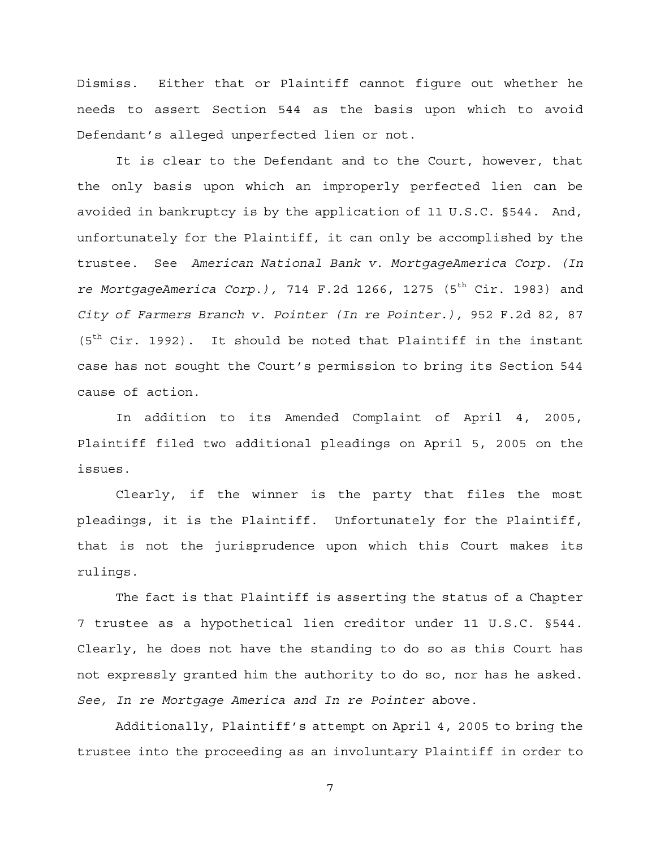Dismiss. Either that or Plaintiff cannot figure out whether he needs to assert Section 544 as the basis upon which to avoid Defendant's alleged unperfected lien or not.

It is clear to the Defendant and to the Court, however, that the only basis upon which an improperly perfected lien can be avoided in bankruptcy is by the application of 11 U.S.C. §544. And, unfortunately for the Plaintiff, it can only be accomplished by the trustee. See *American National Bank v. MortgageAmerica Corp. (In re MortgageAmerica Corp.),* 714 F.2d 1266, 1275 (5<sup>th</sup> Cir. 1983) and *City of Farmers Branch v. Pointer (In re Pointer.),* 952 F.2d 82, 87  $(5<sup>th</sup> Cir. 1992)$ . It should be noted that Plaintiff in the instant case has not sought the Court's permission to bring its Section 544 cause of action.

In addition to its Amended Complaint of April 4, 2005, Plaintiff filed two additional pleadings on April 5, 2005 on the issues.

Clearly, if the winner is the party that files the most pleadings, it is the Plaintiff. Unfortunately for the Plaintiff, that is not the jurisprudence upon which this Court makes its rulings.

The fact is that Plaintiff is asserting the status of a Chapter 7 trustee as a hypothetical lien creditor under 11 U.S.C. §544. Clearly, he does not have the standing to do so as this Court has not expressly granted him the authority to do so, nor has he asked. *See, In re Mortgage America and In re Pointer* above.

Additionally, Plaintiff's attempt on April 4, 2005 to bring the trustee into the proceeding as an involuntary Plaintiff in order to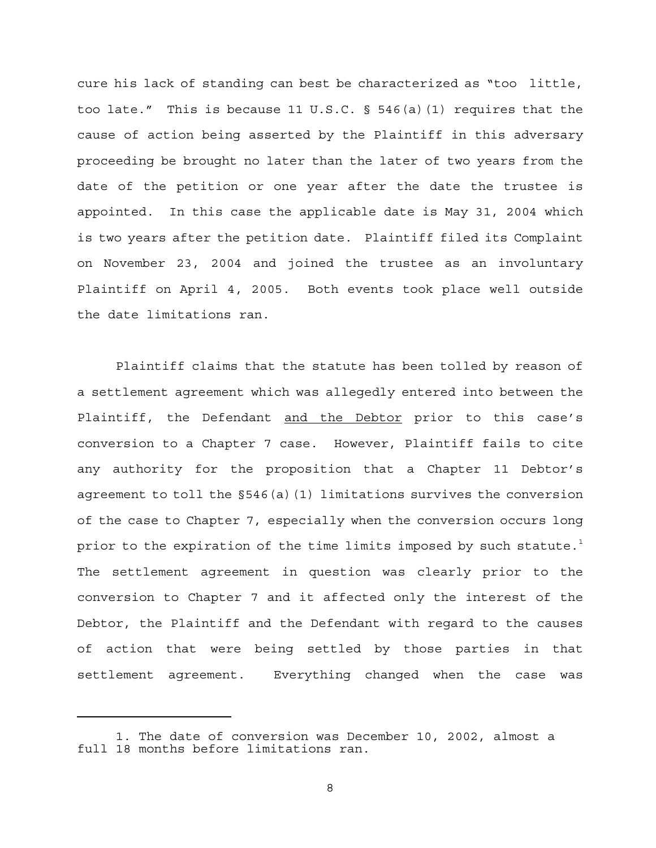cure his lack of standing can best be characterized as "too little, too late." This is because 11 U.S.C. § 546(a)(1) requires that the cause of action being asserted by the Plaintiff in this adversary proceeding be brought no later than the later of two years from the date of the petition or one year after the date the trustee is appointed. In this case the applicable date is May 31, 2004 which is two years after the petition date. Plaintiff filed its Complaint on November 23, 2004 and joined the trustee as an involuntary Plaintiff on April 4, 2005. Both events took place well outside the date limitations ran.

Plaintiff claims that the statute has been tolled by reason of a settlement agreement which was allegedly entered into between the Plaintiff, the Defendant and the Debtor prior to this case's conversion to a Chapter 7 case. However, Plaintiff fails to cite any authority for the proposition that a Chapter 11 Debtor's agreement to toll the §546(a)(1) limitations survives the conversion of the case to Chapter 7, especially when the conversion occurs long prior to the expiration of the time limits imposed by such statute.<sup>1</sup> The settlement agreement in question was clearly prior to the conversion to Chapter 7 and it affected only the interest of the Debtor, the Plaintiff and the Defendant with regard to the causes of action that were being settled by those parties in that settlement agreement. Everything changed when the case was

<sup>1.</sup> The date of conversion was December 10, 2002, almost a full 18 months before limitations ran.